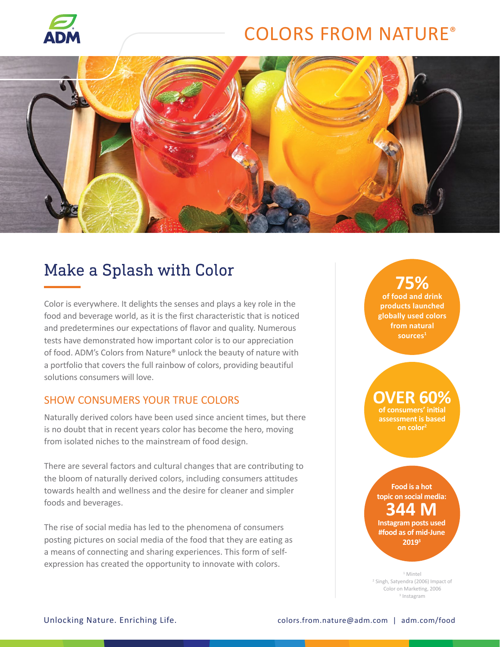

# COLORS FROM NATURE®



## Make a Splash with Color

Color is everywhere. It delights the senses and plays a key role in the food and beverage world, as it is the first characteristic that is noticed and predetermines our expectations of flavor and quality. Numerous tests have demonstrated how important color is to our appreciation of food. ADM's Colors from Nature® unlock the beauty of nature with a portfolio that covers the full rainbow of colors, providing beautiful solutions consumers will love.

#### SHOW CONSUMERS YOUR TRUE COLORS

Naturally derived colors have been used since ancient times, but there is no doubt that in recent years color has become the hero, moving from isolated niches to the mainstream of food design.

There are several factors and cultural changes that are contributing to the bloom of naturally derived colors, including consumers attitudes towards health and wellness and the desire for cleaner and simpler foods and beverages.

The rise of social media has led to the phenomena of consumers posting pictures on social media of the food that they are eating as a means of connecting and sharing experiences. This form of selfexpression has created the opportunity to innovate with colors.

## **75%**

**of food and drink products launched globally used colors from natural sources1**

#### **OVER 60% of consumers' initial**

**assessment is based on color2**

#### **Food is a hot topic on social media: 344 M Instagram posts used #food as of mid-June**

**20193**

1 Mintel 2 Singh, Satyendra (2006) Impact of Color on Marketing, 2006 3 Instagram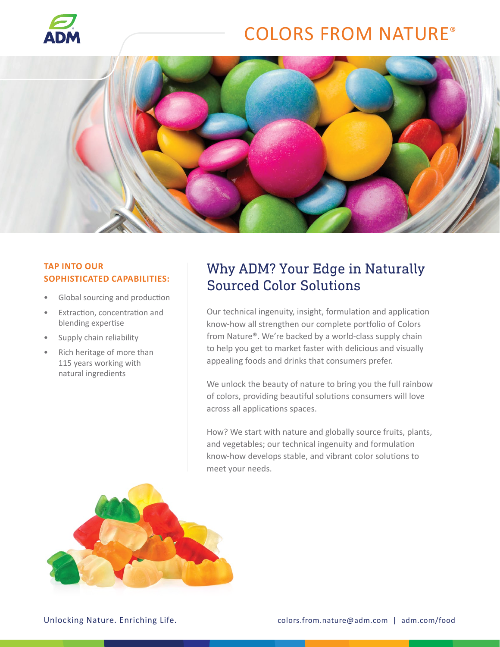

# COLORS FROM NATURE®



#### **TAP INTO OUR SOPHISTICATED CAPABILITIES:**

- Global sourcing and production
- Extraction, concentration and blending expertise
- Supply chain reliability
- Rich heritage of more than 115 years working with natural ingredients

## Why ADM? Your Edge in Naturally Sourced Color Solutions

Our technical ingenuity, insight, formulation and application know-how all strengthen our complete portfolio of Colors from Nature®. We're backed by a world-class supply chain to help you get to market faster with delicious and visually appealing foods and drinks that consumers prefer.

We unlock the beauty of nature to bring you the full rainbow of colors, providing beautiful solutions consumers will love across all applications spaces.

How? We start with nature and globally source fruits, plants, and vegetables; our technical ingenuity and formulation know-how develops stable, and vibrant color solutions to meet your needs.

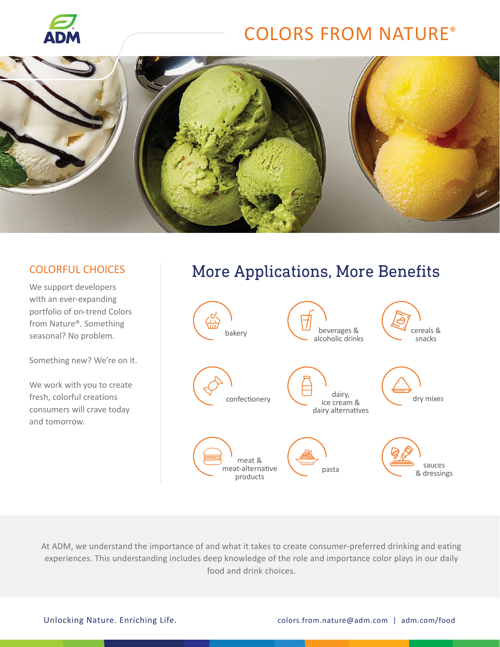

# COLORS FROM NATURE®



We support developers with an ever-expanding portfolio of on-trend Colors from Nature®. Something seasonal? No problem.

Something new? We're on it.

We work with you to create fresh, colorful creations consumers will crave today and tomorrow.

## COLORFUL CHOICES More Applications, More Benefits



At ADM, we understand the importance of and what it takes to create consumer-preferred drinking and eating experiences. This understanding includes deep knowledge of the role and importance color plays in our daily food and drink choices.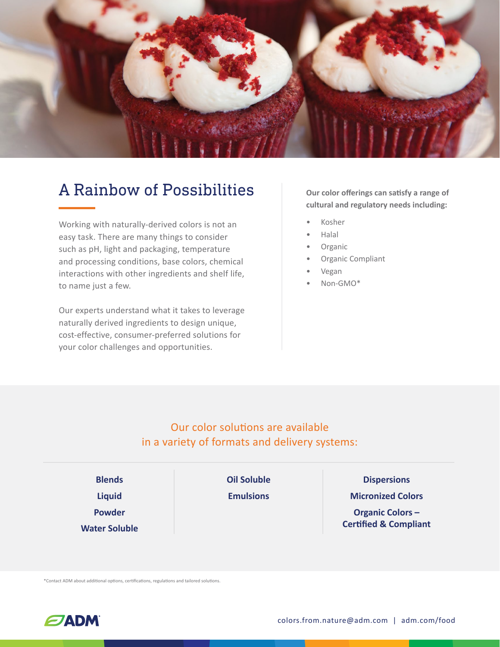

## A Rainbow of Possibilities **Our color offerings can satisfy a range of**

Working with naturally-derived colors is not an easy task. There are many things to consider such as pH, light and packaging, temperature and processing conditions, base colors, chemical interactions with other ingredients and shelf life, to name just a few.

Our experts understand what it takes to leverage naturally derived ingredients to design unique, cost-effective, consumer-preferred solutions for your color challenges and opportunities.

**cultural and regulatory needs including:**

- Kosher
- Halal
- **Organic**
- Organic Compliant
- Vegan
- Non-GMO\*

### Our color solutions are available in a variety of formats and delivery systems:

| <b>Blends</b>        | <b>Oil Soluble</b> | <b>Dispersions</b>               |
|----------------------|--------------------|----------------------------------|
| <b>Liquid</b>        | <b>Emulsions</b>   | <b>Micronized Colors</b>         |
| <b>Powder</b>        |                    | <b>Organic Colors-</b>           |
| <b>Water Soluble</b> |                    | <b>Certified &amp; Compliant</b> |

\*Contact ADM about additional options, certifications, regulations and tailored solutions.